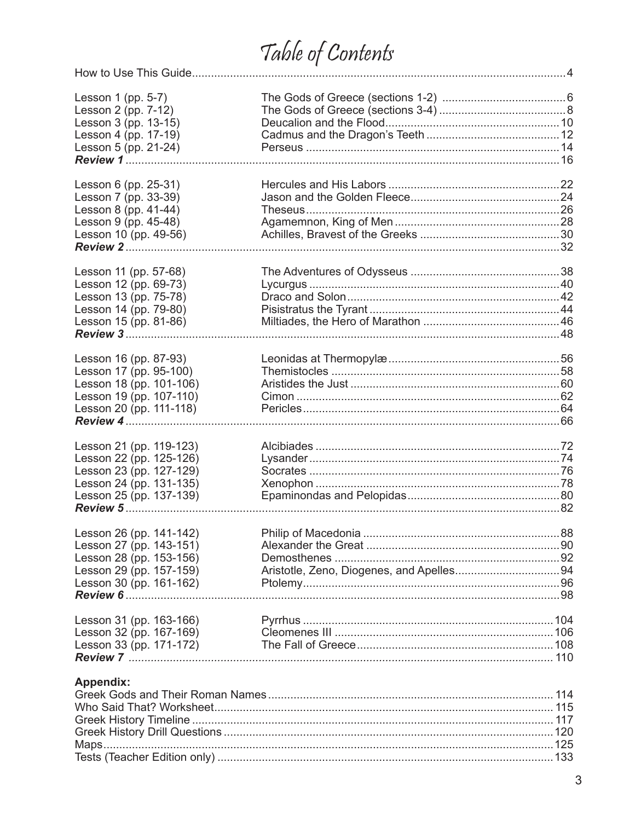## Table of Contents

| Lesson 1 (pp. 5-7)                              |  |
|-------------------------------------------------|--|
| Lesson 2 (pp. 7-12)                             |  |
| Lesson 3 (pp. 13-15)                            |  |
| Lesson 4 (pp. 17-19)                            |  |
| Lesson 5 (pp. 21-24)                            |  |
|                                                 |  |
| Lesson 6 (pp. 25-31)                            |  |
| Lesson 7 (pp. 33-39)                            |  |
| Lesson 8 (pp. 41-44)                            |  |
| Lesson 9 (pp. 45-48)                            |  |
| Lesson 10 (pp. 49-56)                           |  |
|                                                 |  |
| Lesson 11 (pp. 57-68)                           |  |
| Lesson 12 (pp. 69-73)                           |  |
| Lesson 13 (pp. 75-78)                           |  |
| Lesson 14 (pp. 79-80)                           |  |
| Lesson 15 (pp. 81-86)                           |  |
|                                                 |  |
|                                                 |  |
| Lesson 16 (pp. 87-93)<br>Lesson 17 (pp. 95-100) |  |
| Lesson 18 (pp. 101-106)                         |  |
|                                                 |  |
| Lesson 19 (pp. 107-110)                         |  |
| Lesson 20 (pp. 111-118)                         |  |
|                                                 |  |
| Lesson 21 (pp. 119-123)                         |  |
| Lesson 22 (pp. 125-126)                         |  |
| Lesson 23 (pp. 127-129)                         |  |
| Lesson 24 (pp. 131-135)                         |  |
| Lesson 25 (pp. 137-139)                         |  |
|                                                 |  |
| Lesson 26 (pp. 141-142)                         |  |
| Lesson 27 (pp. 143-151)                         |  |
| Lesson 28 (pp. 153-156)                         |  |
| Lesson 29 (pp. 157-159)                         |  |
| Lesson 30 (pp. 161-162)                         |  |
|                                                 |  |
| Lesson 31 (pp. 163-166)                         |  |
| Lesson 32 (pp. 167-169)                         |  |
| Lesson 33 (pp. 171-172)                         |  |
|                                                 |  |
| Appendix:                                       |  |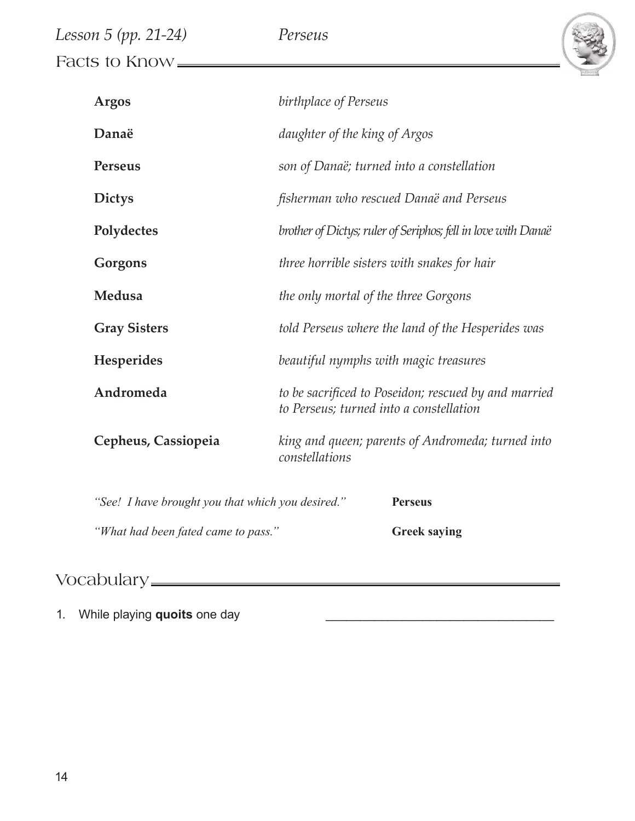| Lesson 5 (pp. 21-24) | Perseus |  |
|----------------------|---------|--|
| Facts to Know =      |         |  |

| <b>Argos</b>                                      | birthplace of Perseus                                                                           |  |
|---------------------------------------------------|-------------------------------------------------------------------------------------------------|--|
| Danaë                                             | daughter of the king of Argos                                                                   |  |
| <b>Perseus</b>                                    | son of Danaë; turned into a constellation                                                       |  |
| <b>Dictys</b>                                     | fisherman who rescued Danaë and Perseus                                                         |  |
| Polydectes                                        | brother of Dictys; ruler of Seriphos; fell in love with Danaë                                   |  |
| Gorgons                                           | three horrible sisters with snakes for hair                                                     |  |
| Medusa                                            | the only mortal of the three Gorgons                                                            |  |
| <b>Gray Sisters</b>                               | told Perseus where the land of the Hesperides was                                               |  |
| Hesperides                                        | beautiful nymphs with magic treasures                                                           |  |
| Andromeda                                         | to be sacrificed to Poseidon; rescued by and married<br>to Perseus; turned into a constellation |  |
| Cepheus, Cassiopeia                               | king and queen; parents of Andromeda; turned into<br>constellations                             |  |
| "See! I have brought you that which you desired." | <b>Perseus</b>                                                                                  |  |
| "What had been fated came to pass."               | <b>Greek saying</b>                                                                             |  |

## Vocabulary

1. While playing **quoits** one day \_\_\_\_\_\_\_\_\_\_\_\_\_\_\_\_\_\_\_\_\_\_\_\_\_\_\_\_\_\_\_\_\_